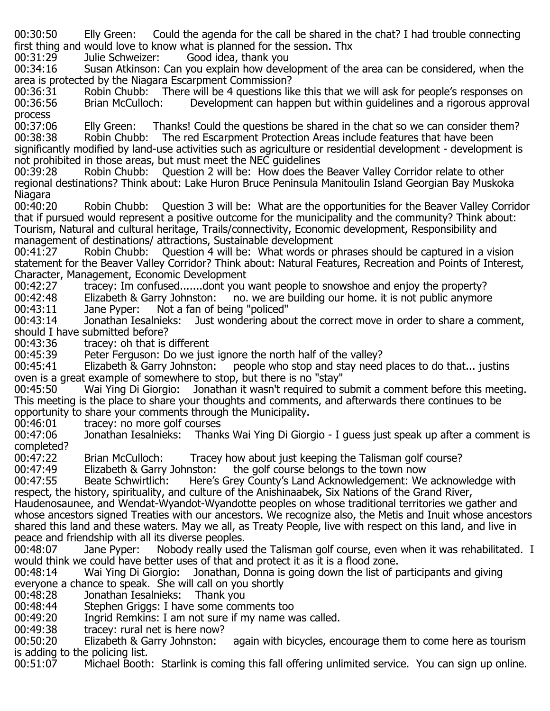00:30:50 Elly Green: Could the agenda for the call be shared in the chat? I had trouble connecting first thing and would love to know what is planned for the session. Thx 00:31:29 Julie Schweizer: Good idea, thank you

00:31:29 Julie Schweizer: Good idea, thank you<br>00:34:16 Susan Atkinson: Can you explain how devel

Susan Atkinson: Can you explain how development of the area can be considered, when the area is protected by the Niagara Escarpment Commission?<br>00:36:31 Robin Chubb: There will be 4 questions lik

00:36:31 Robin Chubb: There will be 4 questions like this that we will ask for people's responses on<br>00:36:56 Brian McCulloch: Development can happen but within quidelines and a rigorous approva Development can happen but within quidelines and a rigorous approval

process<br>00:37:06 00:37:06 Flly Green: Thanks! Could the questions be shared in the chat so we can consider them?<br>00:38:38 Robin Chubb: The red Escarpment Protection Areas include features that have been The red Escarpment Protection Areas include features that have been significantly modified by land-use activities such as agriculture or residential development - development is

not prohibited in those areas, but must meet the NEC guidelines<br>00:39:28 Robin Chubb: Ouestion 2 will be: How does the Question 2 will be: How does the Beaver Valley Corridor relate to other regional destinations? Think about: Lake Huron Bruce Peninsula Manitoulin Island Georgian Bay Muskoka

Niagara<br>00:40:20 Robin Chubb: Question 3 will be: What are the opportunities for the Beaver Valley Corridor that if pursued would represent a positive outcome for the municipality and the community? Think about: Tourism, Natural and cultural heritage, Trails/connectivity, Economic development, Responsibility and

management of destinations/ attractions, Sustainable development<br>00:41:27 Robin Chubb: Question 4 will be: What words or p Question 4 will be: What words or phrases should be captured in a vision statement for the Beaver Valley Corridor? Think about: Natural Features, Recreation and Points of Interest, Character, Management, Economic Development<br>00:42:27 tracev: Im confused.......dont vou

00:42:27 tracey: Im confused.......dont you want people to snowshoe and enjoy the property?<br>00:42:48 Elizabeth & Garry Johnston: no. we are building our home, it is not public anymore

00:42:48 Elizabeth & Garry Johnston: no. we are building our home. it is not public anymore 00:43:11 Jane Pyper: Not a fan of being "policed"

00:43:11 Jane Pyper: Not a fan of being "policed"<br>00:43:14 Jonathan Iesalnieks: Just wondering abou Just wondering about the correct move in order to share a comment, should I have submitted before?

00:43:36 tracey: oh that is different<br>00:45:39 Peter Ferguson: Do we jus

00:45:39 Peter Ferguson: Do we just ignore the north half of the valley?<br>00:45:41 Elizabeth & Garry Johnston: people who stop and stay need

people who stop and stay need places to do that... justins oven is a great example of somewhere to stop, but there is no "stay"<br>00:45:50 Wai Ying Di Giorgio: Jonathan it wasn't reguired to s

Jonathan it wasn't required to submit a comment before this meeting. This meeting is the place to share your thoughts and comments, and afterwards there continues to be opportunity to share your comments through the Municipality.<br>00:46:01 tracey: no more golf courses

00:46:01 tracey: no more golf courses Jonathan Iesalnieks: Thanks Wai Ying Di Giorgio - I guess just speak up after a comment is completed?<br>00:47:22

00:47:22 Brian McCulloch: Tracey how about just keeping the Talisman golf course?<br>00:47:49 Elizabeth & Garry Johnston: the golf course belongs to the town now

00:47:49 Elizabeth & Garry Johnston: the golf course belongs to the town now<br>00:47:55 Beate Schwirtlich: Here's Grey County's Land Acknowledgement: We

Here's Grey County's Land Acknowledgement: We acknowledge with respect, the history, spirituality, and culture of the Anishinaabek, Six Nations of the Grand River,

Haudenosaunee, and Wendat-Wyandot-Wyandotte peoples on whose traditional territories we gather and whose ancestors signed Treaties with our ancestors. We recognize also, the Metis and Inuit whose ancestors shared this land and these waters. May we all, as Treaty People, live with respect on this land, and live in peace and friendship with all its diverse peoples.<br>00:48:07 Jane Pyper: Nobody really usec

Nobody really used the Talisman golf course, even when it was rehabilitated. I would think we could have better uses of that and protect it as it is a flood zone.<br>00:48:14 Wai Ying Di Giorgio: Jonathan, Donna is going down the list of p

Wai Ying Di Giorgio: Jonathan, Donna is going down the list of participants and giving everyone a chance to speak. She will call on you shortly

00:48:28 Jonathan Iesalnieks: Thank you<br>00:48:44 Stephen Griggs: I have some com

00:48:44 Stephen Griggs: I have some comments too<br>00:49:20 Ingrid Remkins: I am not sure if my name w

00:49:20 Ingrid Remkins: I am not sure if my name was called.<br>00:49:38 tracey: rural net is here now?

00:49:38 tracey: rural net is here now?<br>00:50:20 Elizabeth & Garry Johnston:

again with bicycles, encourage them to come here as tourism is adding to the policing list.

00:51:07 Michael Booth: Starlink is coming this fall offering unlimited service. You can sign up online.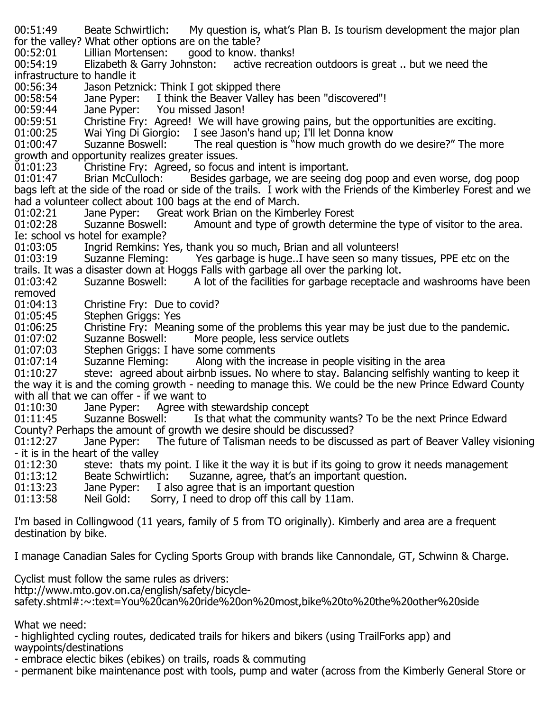00:51:49 Beate Schwirtlich: My question is, what's Plan B. Is tourism development the major plan for the valley? What other options are on the table? 00:52:01 Lillian Mortensen: good to know. thanks!<br>00:54:19 Elizabeth & Garry Johnston: active recreat active recreation outdoors is great .. but we need the infrastructure to handle it 00:56:34 Jason Petznick: Think I got skipped there<br>00:58:54 Jane Pyper: I think the Beaver Valley h 00:58:54 Jane Pyper: I think the Beaver Valley has been "discovered"!<br>00:59:44 Jane Pyper: You missed Jason! 00:59:44 Jane Pyper: You missed Jason!<br>00:59:51 Christine Frv: Agreed! We will ha 00:59:51 Christine Fry: Agreed! We will have growing pains, but the opportunities are exciting.<br>01:00:25 Wai Ying Di Giorgio: I see Jason's hand up: I'll let Donna know 01:00:25 Mai Ying Di Giorgio: I see Jason's hand up; I'll let Donna know<br>01:00:47 Suzanne Boswell: The real question is "how much growth do The real question is "how much growth do we desire?" The more growth and opportunity realizes greater issues. 01:01:23 Christine Fry: Agreed, so focus and intent is important.<br>01:01:47 Brian McCulloch: Besides garbage, we are seeing d Besides garbage, we are seeing dog poop and even worse, dog poop bags left at the side of the road or side of the trails. I work with the Friends of the Kimberley Forest and we had a volunteer collect about 100 bags at the end of March. 01:02:21 Jane Pyper: Great work Brian on the Kimberley Forest<br>01:02:28 Suzanne Boswell: Amount and type of growth deterr Amount and type of growth determine the type of visitor to the area. Ie: school vs hotel for example? 01:03:05 Ingrid Remkins: Yes, thank you so much, Brian and all volunteers!<br>01:03:19 Suzanne Fleming: Yes garbage is huge..I have seen so many Yes garbage is huge..I have seen so many tissues, PPE etc on the trails. It was a disaster down at Hoggs Falls with garbage all over the parking lot.<br>01:03:42 Suzanne Boswell: A lot of the facilities for garbage receptacle A lot of the facilities for garbage receptacle and washrooms have been removed<br>01:04:13 01:04:13 Christine Fry: Due to covid?<br>01:05:45 Stephen Griggs: Yes 01:05:45 Stephen Griggs: Yes<br>01:06:25 Christine Frv: Meani 01:06:25 Christine Fry: Meaning some of the problems this year may be just due to the pandemic.<br>01:07:02 Suzanne Boswell: More people, less service outlets 01:07:02 Suzanne Boswell: More people, less service outlets<br>01:07:03 Stephen Griggs: I have some comments 01:07:03 Stephen Griggs: I have some comments<br>01:07:14 Suzanne Fleming: Along with the in 01:07:14 Suzanne Fleming: Along with the increase in people visiting in the area<br>01:10:27 steve: agreed about airbnb issues. No where to stav. Balancing selfishly wa steve: agreed about airbnb issues. No where to stay. Balancing selfishly wanting to keep it the way it is and the coming growth - needing to manage this. We could be the new Prince Edward County with all that we can offer - if we want to 01:10:30 Jane Pyper: Agree with stewardship concept<br>01:11:45 Suzanne Boswell: Is that what the commui Is that what the community wants? To be the next Prince Edward County? Perhaps the amount of growth we desire should be discussed?<br>01:12:27 Jane Pyper: The future of Talisman needs to be discus The future of Talisman needs to be discussed as part of Beaver Valley visioning - it is in the heart of the valley 01:12:30 steve: thats my point. I like it the way it is but if its going to grow it needs management  $01:13:12$  Beate Schwirtlich: Suzanne, agree, that's an important question. 01:13:12 Beate Schwirtlich: Suzanne, agree, that's an important question.<br>01:13:23 Jane Pyper: I also agree that is an important question 01:13:23 Jane Pyper: I also agree that is an important question<br>01:13:58 Neil Gold: Sorry, I need to drop off this call by 11am. Sorry, I need to drop off this call by 11am. I'm based in Collingwood (11 years, family of 5 from TO originally). Kimberly and area are a frequent destination by bike.

I manage Canadian Sales for Cycling Sports Group with brands like Cannondale, GT, Schwinn & Charge.

Cyclist must follow the same rules as drivers:

http://www.mto.gov.on.ca/english/safety/bicycle-

safety.shtml#:~:text=You%20can%20ride%20on%20most,bike%20to%20the%20other%20side

What we need:

- highlighted cycling routes, dedicated trails for hikers and bikers (using TrailForks app) and waypoints/destinations

- embrace electic bikes (ebikes) on trails, roads & commuting

- permanent bike maintenance post with tools, pump and water (across from the Kimberly General Store or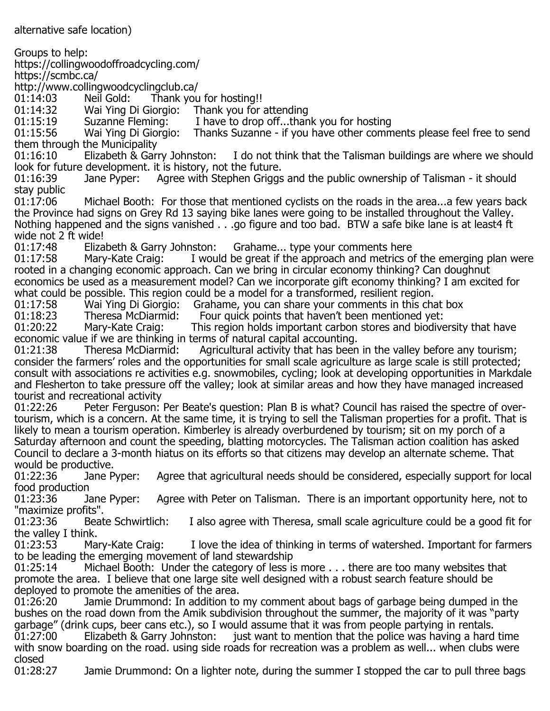alternative safe location)

Groups to help: https://collingwoodoffroadcycling.com/ https://scmbc.ca/ http://www.collingwoodcyclingclub.ca/<br>01:14:03 Meil Gold: Thank you 01:14:03 Neil Gold: Thank you for hosting!!<br>01:14:32 Wai Ying Di Giorgio: Thank you for 01:14:32 Mai Ying Di Giorgio: Thank you for attending<br>01:15:19 Suzanne Fleming: I have to drop off...thar 01:15:19 Suzanne Fleming: I have to drop off...thank you for hosting<br>01:15:56 Wai Ying Di Giorgio: Thanks Suzanne - if you have other comm Thanks Suzanne - if you have other comments please feel free to send them through the Municipality I do not think that the Talisman buildings are where we should look for future development. it is history, not the future. Agree with Stephen Griggs and the public ownership of Talisman - it should stay public<br>01:17:06 Michael Booth: For those that mentioned cyclists on the roads in the area...a few years back the Province had signs on Grey Rd 13 saying bike lanes were going to be installed throughout the Valley. Nothing happened and the signs vanished . . .go figure and too bad. BTW a safe bike lane is at least4 ft wide not 2 ft wide!<br>01:17:48 Elizabeth & Garry Johnston: 01:17:48 Elizabeth & Garry Johnston: Grahame... type your comments here<br>01:17:58 Mary-Kate Craig: I would be great if the approach and metrics o I would be great if the approach and metrics of the emerging plan were rooted in a changing economic approach. Can we bring in circular economy thinking? Can doughnut economics be used as a measurement model? Can we incorporate gift economy thinking? I am excited for what could be possible. This region could be a model for a transformed, resilient region.<br>01:17:58 Wai Ying Di Giorgio: Grahame, you can share your comments in this cha 01:17:58 Wai Ying Di Giorgio: Grahame, you can share your comments in this chat box<br>01:18:23 Theresa McDiarmid: Four quick points that haven't been mentioned yet: 01:18:23 Theresa McDiarmid: Four quick points that haven't been mentioned yet:<br>01:20:22 Mary-Kate Craig: This region holds important carbon stores and biodive This region holds important carbon stores and biodiversity that have economic value if we are thinking in terms of natural capital accounting.<br>01:21:38 Theresa McDiarmid: Agricultural activity that has been Agricultural activity that has been in the valley before any tourism; consider the farmers' roles and the opportunities for small scale agriculture as large scale is still protected; consult with associations re activities e.g. snowmobiles, cycling; look at developing opportunities in Markdale and Flesherton to take pressure off the valley; look at similar areas and how they have managed increased tourist and recreational activity<br>01:22:26 – Peter Ferguson: Peter Ferguson: Per Beate's question: Plan B is what? Council has raised the spectre of overtourism, which is a concern. At the same time, it is trying to sell the Talisman properties for a profit. That is likely to mean a tourism operation. Kimberley is already overburdened by tourism; sit on my porch of a Saturday afternoon and count the speeding, blatting motorcycles. The Talisman action coalition has asked

Council to declare a 3-month hiatus on its efforts so that citizens may develop an alternate scheme. That would be productive.

Agree that agricultural needs should be considered, especially support for local food production

Agree with Peter on Talisman. There is an important opportunity here, not to "maximize profits".<br>01:23:36 Beate Schwirtlich:

I also agree with Theresa, small scale agriculture could be a good fit for the valley I think.<br>01:23:53 Mary-Kate Craig:

I love the idea of thinking in terms of watershed. Important for farmers to be leading the emerging movement of land stewardship<br>01:25:14 Michael Booth: Under the category of less is

Michael Booth: Under the category of less is more . . . there are too many websites that promote the area. I believe that one large site well designed with a robust search feature should be deployed to promote the amenities of the area.

Jamie Drummond: In addition to my comment about bags of garbage being dumped in the bushes on the road down from the Amik subdivision throughout the summer, the majority of it was "party garbage" (drink cups, beer cans etc.), so I would assume that it was from people partying in rentals.<br>01:27:00 Telizabeth & Garry Johnston: just want to mention that the police was having a hard

just want to mention that the police was having a hard time with snow boarding on the road. using side roads for recreation was a problem as well... when clubs were

closed<br>01:28:27 Jamie Drummond: On a lighter note, during the summer I stopped the car to pull three bags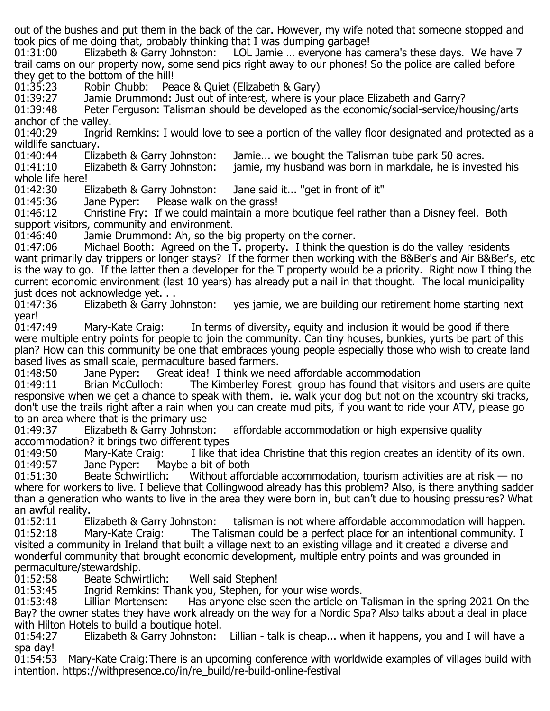out of the bushes and put them in the back of the car. However, my wife noted that someone stopped and took pics of me doing that, probably thinking that I was dumping garbage!

01:31:00 Elizabeth & Garry Johnston: LOL Jamie … everyone has camera's these days. We have 7 trail cams on our property now, some send pics right away to our phones! So the police are called before they get to the bottom of the hill!<br>01:35:23 Robin Chubb: Pea

01:35:23 Robin Chubb: Peace & Quiet (Elizabeth & Gary)<br>01:39:27 Jamie Drummond: Just out of interest, where is yo

01:39:27 Jamie Drummond: Just out of interest, where is your place Elizabeth and Garry?<br>01:39:48 Peter Ferguson: Talisman should be developed as the economic/social-service/h

Peter Ferguson: Talisman should be developed as the economic/social-service/housing/arts anchor of the valley.<br>01:40:29 Ingrid

Ingrid Remkins: I would love to see a portion of the valley floor designated and protected as a wildlife sanctuary.<br>01:40:44 Eliza

01:40:44 Elizabeth & Garry Johnston: Jamie... we bought the Talisman tube park 50 acres.<br>01:41:10 Elizabeth & Garry Johnston: jamie, my husband was born in markdale, he is inves

jamie, my husband was born in markdale, he is invested his

whole life here!<br>01:42:30 Elizabeth & Garry Johnston: 01:42:30 Elizabeth & Garry Johnston: Jane said it... "get in front of it"  $01:45:36$  Jane Pyper: Please walk on the grass!

01:45:36 Jane Pyper: Please walk on the grass!<br>01:46:12 Christine Fry: If we could maintain a mo

01:46:12 Christine Fry: If we could maintain a more boutique feel rather than a Disney feel. Both support visitors, community and environment.

01:46:40 Jamie Drummond: Ah, so the big property on the corner.<br>01:47:06 Michael Booth: Agreed on the T. property. I think the au Michael Booth: Agreed on the T. property. I think the question is do the valley residents want primarily day trippers or longer stays? If the former then working with the B&Ber's and Air B&Ber's, etc is the way to go. If the latter then a developer for the T property would be a priority. Right now I thing the current economic environment (last 10 years) has already put a nail in that thought. The local municipality just does not acknowledge yet. . .<br>01:47:36 Elizabeth & Garry Johnston:

yes jamie, we are building our retirement home starting next year!<br>01:47:49

Mary-Kate Craig: In terms of diversity, equity and inclusion it would be good if there were multiple entry points for people to join the community. Can tiny houses, bunkies, yurts be part of this plan? How can this community be one that embraces young people especially those who wish to create land based lives as small scale, permaculture based farmers.

01:48:50 Jane Pyper: Great idea! I think we need affordable accommodation<br>01:49:11 Brian McCulloch: The Kimberley Forest group has found that visite

The Kimberley Forest group has found that visitors and users are quite responsive when we get a chance to speak with them. ie. walk your dog but not on the xcountry ski tracks, don't use the trails right after a rain when you can create mud pits, if you want to ride your ATV, please go to an area where that is the primary use<br>01:49:37 Elizabeth & Garry Johnston:

affordable accommodation or high expensive quality accommodation? it brings two different types<br>01:49:50 Mary-Kate Craig: I like tha

01:49:50 Mary-Kate Craig: I like that idea Christine that this region creates an identity of its own.<br>01:49:57 Jane Pyper: Maybe a bit of both 01:49:57 Jane Pyper: Maybe a bit of both<br>01:51:30 Beate Schwirtlich: Without affor

Without affordable accommodation, tourism activities are at risk  $-$  no where for workers to live. I believe that Collingwood already has this problem? Also, is there anything sadder than a generation who wants to live in the area they were born in, but can't due to housing pressures? What an awful reality.<br>01:52:11 Elizabeth & Garry Johnston:

01:52:11 Elizabeth & Garry Johnston: talisman is not where affordable accommodation will happen.<br>01:52:18 Mary-Kate Craig: The Talisman could be a perfect place for an intentional community. I The Talisman could be a perfect place for an intentional community. I visited a community in Ireland that built a village next to an existing village and it created a diverse and wonderful community that brought economic development, multiple entry points and was grounded in permaculture/stewardship.

01:52:58 Beate Schwirtlich: Well said Stephen!<br>01:53:45 Ingrid Remkins: Thank you, Stephen, for

01:53:45 Ingrid Remkins: Thank you, Stephen, for your wise words.<br>01:53:48 Iillian Mortensen: I Has anyone else seen the article on

Has anyone else seen the article on Talisman in the spring 2021 On the Bay? the owner states they have work already on the way for a Nordic Spa? Also talks about a deal in place with Hilton Hotels to build a boutique hotel.<br>01:54:27 Elizabeth & Garry Johnston:

Lillian - talk is cheap... when it happens, you and I will have a spa day!

01:54:53 Mary-Kate Craig:There is an upcoming conference with worldwide examples of villages build with intention. https://withpresence.co/in/re\_build/re-build-online-festival